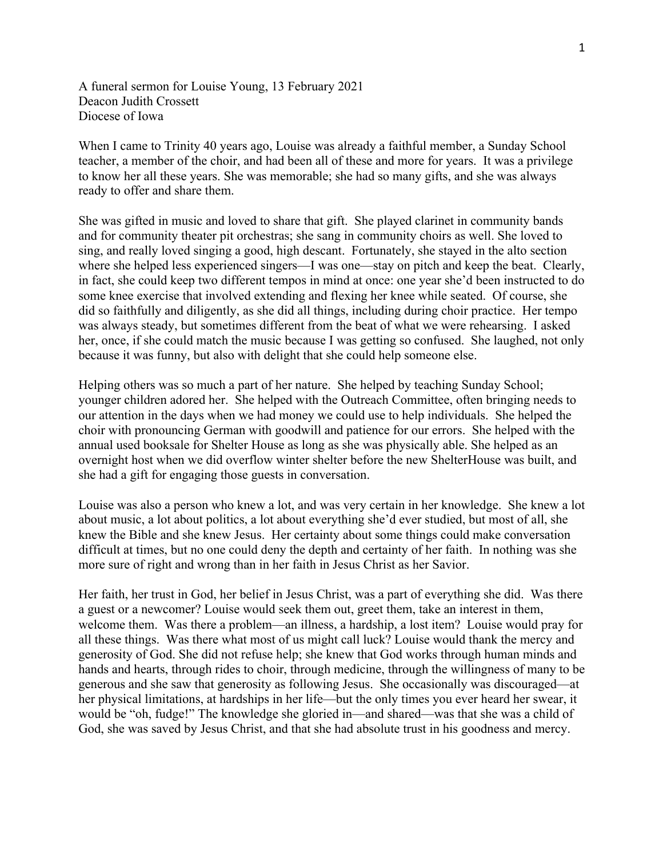A funeral sermon for Louise Young, 13 February 2021 Deacon Judith Crossett Diocese of Iowa

When I came to Trinity 40 years ago, Louise was already a faithful member, a Sunday School teacher, a member of the choir, and had been all of these and more for years. It was a privilege to know her all these years. She was memorable; she had so many gifts, and she was always ready to offer and share them.

She was gifted in music and loved to share that gift. She played clarinet in community bands and for community theater pit orchestras; she sang in community choirs as well. She loved to sing, and really loved singing a good, high descant. Fortunately, she stayed in the alto section where she helped less experienced singers—I was one—stay on pitch and keep the beat. Clearly, in fact, she could keep two different tempos in mind at once: one year she'd been instructed to do some knee exercise that involved extending and flexing her knee while seated. Of course, she did so faithfully and diligently, as she did all things, including during choir practice. Her tempo was always steady, but sometimes different from the beat of what we were rehearsing. I asked her, once, if she could match the music because I was getting so confused. She laughed, not only because it was funny, but also with delight that she could help someone else.

Helping others was so much a part of her nature. She helped by teaching Sunday School; younger children adored her. She helped with the Outreach Committee, often bringing needs to our attention in the days when we had money we could use to help individuals. She helped the choir with pronouncing German with goodwill and patience for our errors. She helped with the annual used booksale for Shelter House as long as she was physically able. She helped as an overnight host when we did overflow winter shelter before the new ShelterHouse was built, and she had a gift for engaging those guests in conversation.

Louise was also a person who knew a lot, and was very certain in her knowledge. She knew a lot about music, a lot about politics, a lot about everything she'd ever studied, but most of all, she knew the Bible and she knew Jesus. Her certainty about some things could make conversation difficult at times, but no one could deny the depth and certainty of her faith. In nothing was she more sure of right and wrong than in her faith in Jesus Christ as her Savior.

Her faith, her trust in God, her belief in Jesus Christ, was a part of everything she did. Was there a guest or a newcomer? Louise would seek them out, greet them, take an interest in them, welcome them. Was there a problem—an illness, a hardship, a lost item? Louise would pray for all these things. Was there what most of us might call luck? Louise would thank the mercy and generosity of God. She did not refuse help; she knew that God works through human minds and hands and hearts, through rides to choir, through medicine, through the willingness of many to be generous and she saw that generosity as following Jesus. She occasionally was discouraged—at her physical limitations, at hardships in her life—but the only times you ever heard her swear, it would be "oh, fudge!" The knowledge she gloried in—and shared—was that she was a child of God, she was saved by Jesus Christ, and that she had absolute trust in his goodness and mercy.